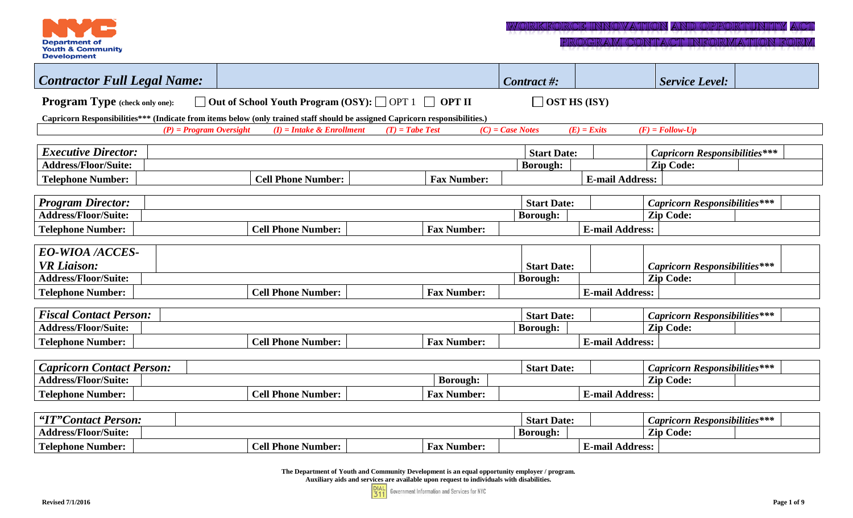

PROGRAM CONTACT INFORMATION FORM

| <b>Contractor Full Legal Name:</b>                                                                                           |                             |                    | Contract #:        | <b>Service Level:</b>                |  |  |  |  |  |
|------------------------------------------------------------------------------------------------------------------------------|-----------------------------|--------------------|--------------------|--------------------------------------|--|--|--|--|--|
| □ Out of School Youth Program (OSY): □ OPT 1 □ OPT II<br>Program Type (check only one):<br>$\Box$ OST HS (ISY)               |                             |                    |                    |                                      |  |  |  |  |  |
| Capricorn Responsibilities*** (Indicate from items below (only trained staff should be assigned Capricorn responsibilities.) |                             |                    |                    |                                      |  |  |  |  |  |
| $(P)$ = Program Oversight                                                                                                    | $(I)$ = Intake & Enrollment | $(T)$ = Tabe Test  | $(C)$ = Case Notes | $(E)$ = Exits<br>$(F)$ = Follow-Up   |  |  |  |  |  |
|                                                                                                                              |                             |                    |                    |                                      |  |  |  |  |  |
| <b>Executive Director:</b>                                                                                                   |                             |                    | <b>Start Date:</b> | <b>Capricorn Responsibilities***</b> |  |  |  |  |  |
| <b>Address/Floor/Suite:</b>                                                                                                  |                             |                    | <b>Borough:</b>    | <b>Zip Code:</b>                     |  |  |  |  |  |
| <b>Telephone Number:</b>                                                                                                     | <b>Cell Phone Number:</b>   | <b>Fax Number:</b> |                    | <b>E-mail Address:</b>               |  |  |  |  |  |
|                                                                                                                              |                             |                    |                    |                                      |  |  |  |  |  |
| <b>Program Director:</b>                                                                                                     |                             |                    | <b>Start Date:</b> | <b>Capricorn Responsibilities***</b> |  |  |  |  |  |
| <b>Address/Floor/Suite:</b>                                                                                                  |                             |                    | <b>Borough:</b>    | <b>Zip Code:</b>                     |  |  |  |  |  |
| <b>Telephone Number:</b>                                                                                                     | <b>Cell Phone Number:</b>   | <b>Fax Number:</b> |                    | <b>E-mail Address:</b>               |  |  |  |  |  |
|                                                                                                                              |                             |                    |                    |                                      |  |  |  |  |  |
| <b>EO-WIOA /ACCES-</b>                                                                                                       |                             |                    |                    |                                      |  |  |  |  |  |
| <b>VR</b> Liaison:                                                                                                           |                             |                    | <b>Start Date:</b> | <b>Capricorn Responsibilities***</b> |  |  |  |  |  |
| <b>Address/Floor/Suite:</b>                                                                                                  |                             |                    | <b>Borough:</b>    | <b>Zip Code:</b>                     |  |  |  |  |  |
| <b>Telephone Number:</b>                                                                                                     | <b>Cell Phone Number:</b>   | <b>Fax Number:</b> |                    | <b>E-mail Address:</b>               |  |  |  |  |  |
|                                                                                                                              |                             |                    |                    |                                      |  |  |  |  |  |
| <b>Fiscal Contact Person:</b>                                                                                                |                             |                    | <b>Start Date:</b> | <b>Capricorn Responsibilities***</b> |  |  |  |  |  |
| <b>Address/Floor/Suite:</b>                                                                                                  |                             |                    | <b>Borough:</b>    | <b>Zip Code:</b>                     |  |  |  |  |  |
| <b>Telephone Number:</b>                                                                                                     | <b>Cell Phone Number:</b>   | <b>Fax Number:</b> |                    | <b>E-mail Address:</b>               |  |  |  |  |  |
|                                                                                                                              |                             |                    |                    |                                      |  |  |  |  |  |
| <b>Capricorn Contact Person:</b>                                                                                             |                             |                    | <b>Start Date:</b> | <b>Capricorn Responsibilities***</b> |  |  |  |  |  |
| <b>Address/Floor/Suite:</b>                                                                                                  |                             | <b>Borough:</b>    |                    | <b>Zip Code:</b>                     |  |  |  |  |  |
| <b>Telephone Number:</b>                                                                                                     | <b>Cell Phone Number:</b>   | <b>Fax Number:</b> |                    | <b>E-mail Address:</b>               |  |  |  |  |  |
|                                                                                                                              |                             |                    |                    |                                      |  |  |  |  |  |
| "IT"Contact Person:                                                                                                          |                             |                    | <b>Start Date:</b> | <b>Capricorn Responsibilities***</b> |  |  |  |  |  |
| <b>Address/Floor/Suite:</b>                                                                                                  |                             |                    | <b>Borough:</b>    | <b>Zip Code:</b>                     |  |  |  |  |  |
| <b>Telephone Number:</b>                                                                                                     | <b>Cell Phone Number:</b>   | <b>Fax Number:</b> |                    | <b>E-mail Address:</b>               |  |  |  |  |  |
|                                                                                                                              |                             |                    |                    |                                      |  |  |  |  |  |

**The Department of Youth and Community Development is an equal opportunity employer / program. Auxiliary aids and services are available upon request to individuals with disabilities.**

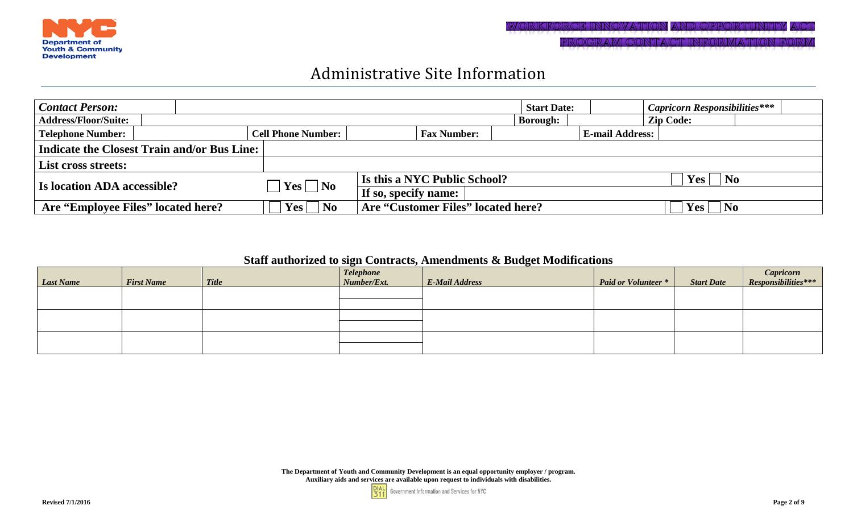

### Administrative Site Information

| <b>Contact Person:</b>                             |                                                                                      |                                    | <b>Start Date:</b> |                        | <b>Capricorn Responsibilities***</b>            |  |
|----------------------------------------------------|--------------------------------------------------------------------------------------|------------------------------------|--------------------|------------------------|-------------------------------------------------|--|
| <b>Address/Floor/Suite:</b>                        |                                                                                      |                                    | <b>Borough:</b>    |                        | <b>Zip Code:</b>                                |  |
| <b>Telephone Number:</b>                           | <b>Cell Phone Number:</b>                                                            | <b>Fax Number:</b>                 |                    | <b>E-mail Address:</b> |                                                 |  |
| <b>Indicate the Closest Train and/or Bus Line:</b> |                                                                                      |                                    |                    |                        |                                                 |  |
| <b>List cross streets:</b>                         |                                                                                      |                                    |                    |                        |                                                 |  |
| <b>Is location ADA accessible?</b>                 | $\left  \right $ $\left  \right $ $\left  \right $ $\left  \right $ $\left  \right $ | Is this a NYC Public School?       |                    |                        | $\overline{\phantom{a}}$ No<br>Yes <sub>1</sub> |  |
|                                                    |                                                                                      | If so, specify name:               |                    |                        |                                                 |  |
| Are "Employee Files" located here?                 | No<br>$\bf Yes$                                                                      | Are "Customer Files" located here? |                    |                        | Yes<br>N <sub>0</sub>                           |  |

### **Staff authorized to sign Contracts, Amendments & Budget Modifications**

| <b>Last Name</b> | <b>First Name</b> | <b>Title</b> | <b>Telephone</b><br>Number/Ext. | <b>E-Mail Address</b> | <b>Paid or Volunteer</b> * | <b>Start Date</b> | <i>Capricorn</i><br><i>Responsibilities</i> *** |
|------------------|-------------------|--------------|---------------------------------|-----------------------|----------------------------|-------------------|-------------------------------------------------|
|                  |                   |              |                                 |                       |                            |                   |                                                 |
|                  |                   |              |                                 |                       |                            |                   |                                                 |
|                  |                   |              |                                 |                       |                            |                   |                                                 |

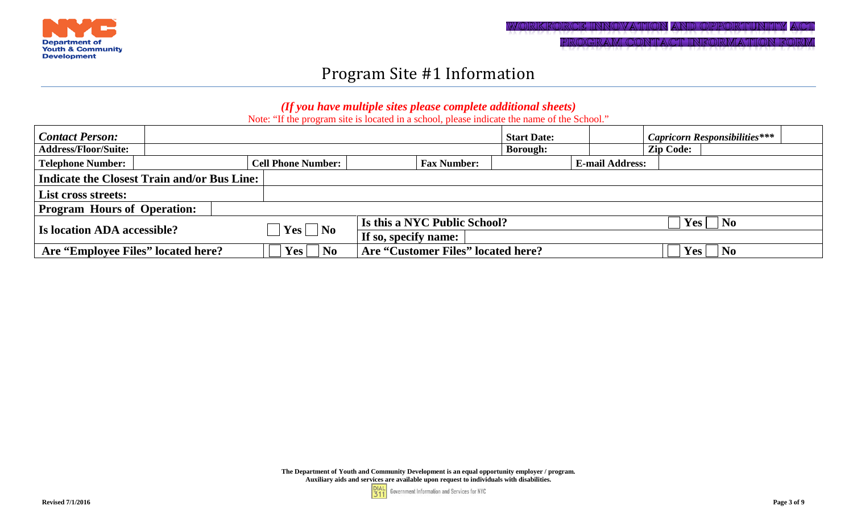

## Program Site #1 Information

### *(If you have multiple sites please complete additional sheets)*

Note: "If the program site is located in a school, please indicate the name of the School."

| <b>Contact Person:</b>                      |                           |                                    | <b>Start Date:</b> |                        | <b>Capricorn Responsibilities***</b>              |  |  |  |  |
|---------------------------------------------|---------------------------|------------------------------------|--------------------|------------------------|---------------------------------------------------|--|--|--|--|
| <b>Address/Floor/Suite:</b>                 |                           |                                    | <b>Borough:</b>    |                        | <b>Zip Code:</b>                                  |  |  |  |  |
| <b>Telephone Number:</b>                    | <b>Cell Phone Number:</b> | <b>Fax Number:</b>                 |                    | <b>E-mail Address:</b> |                                                   |  |  |  |  |
| Indicate the Closest Train and/or Bus Line: |                           |                                    |                    |                        |                                                   |  |  |  |  |
| List cross streets:                         |                           |                                    |                    |                        |                                                   |  |  |  |  |
| <b>Program Hours of Operation:</b>          |                           |                                    |                    |                        |                                                   |  |  |  |  |
| <b>Is location ADA accessible?</b>          | $\mid$ Yes $\Box$ No      | Is this a NYC Public School?       |                    |                        | $Yes \mid \neg No$                                |  |  |  |  |
|                                             |                           | If so, specify name:               |                    |                        |                                                   |  |  |  |  |
| Are "Employee Files" located here?          | $Yes \mid \neg No$        | Are "Customer Files" located here? |                    |                        | $\overline{\phantom{a}}$ No<br>$\bf Yes$ $\vdash$ |  |  |  |  |

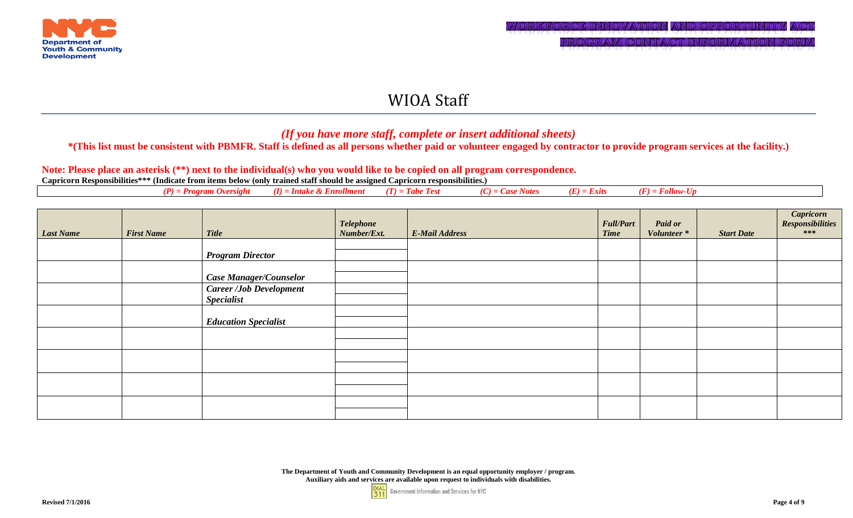

### *(If you have more staff, complete or insert additional sheets)*

### **\*(This list must be consistent with PBMFR. Staff is defined as all persons whether paid or volunteer engaged by contractor to provide program services at the facility.)**

### **Note: Please place an asterisk (\*\*) next to the individual(s) who you would like to be copied on all program correspondence.**

| (P) = Program Oversight (I) = Intake & Enrollment (T) = Tabe Test (C) = Case Notes (E) = Exits (F) = Follow-Up |
|----------------------------------------------------------------------------------------------------------------|
|----------------------------------------------------------------------------------------------------------------|

| <b>Last Name</b> | <b>First Name</b> | <b>Title</b>                   | <b>Telephone</b><br>Number/Ext. | <b>E-Mail Address</b> | <b>Full/Part</b><br><b>Time</b> | <b>Paid or</b><br>Volunteer* | <b>Start Date</b> | $\begin{array}{c} \textit{Capricorn} \\ \textit{Responsibilities} \\ \texttt{***} \end{array}$ |
|------------------|-------------------|--------------------------------|---------------------------------|-----------------------|---------------------------------|------------------------------|-------------------|------------------------------------------------------------------------------------------------|
|                  |                   |                                |                                 |                       |                                 |                              |                   |                                                                                                |
|                  |                   | <b>Program Director</b>        |                                 |                       |                                 |                              |                   |                                                                                                |
|                  |                   |                                |                                 |                       |                                 |                              |                   |                                                                                                |
|                  |                   | <b>Case Manager/Counselor</b>  |                                 |                       |                                 |                              |                   |                                                                                                |
|                  |                   | <b>Career /Job Development</b> |                                 |                       |                                 |                              |                   |                                                                                                |
|                  |                   | <b>Specialist</b>              |                                 |                       |                                 |                              |                   |                                                                                                |
|                  |                   |                                |                                 |                       |                                 |                              |                   |                                                                                                |
|                  |                   | <b>Education Specialist</b>    |                                 |                       |                                 |                              |                   |                                                                                                |
|                  |                   |                                |                                 |                       |                                 |                              |                   |                                                                                                |
|                  |                   |                                |                                 |                       |                                 |                              |                   |                                                                                                |
|                  |                   |                                |                                 |                       |                                 |                              |                   |                                                                                                |
|                  |                   |                                |                                 |                       |                                 |                              |                   |                                                                                                |
|                  |                   |                                |                                 |                       |                                 |                              |                   |                                                                                                |
|                  |                   |                                |                                 |                       |                                 |                              |                   |                                                                                                |
|                  |                   |                                |                                 |                       |                                 |                              |                   |                                                                                                |
|                  |                   |                                |                                 |                       |                                 |                              |                   |                                                                                                |

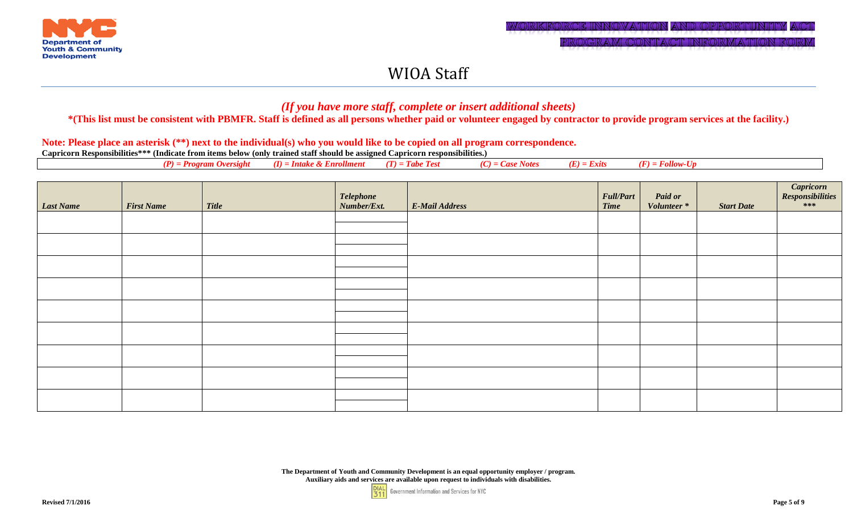

### *(If you have more staff, complete or insert additional sheets)*

**\*(This list must be consistent with PBMFR. Staff is defined as all persons whether paid or volunteer engaged by contractor to provide program services at the facility.)**

#### **Note: Please place an asterisk (\*\*) next to the individual(s) who you would like to be copied on all program correspondence.**

| (E)<br>$(\mathbf{p})$<br>n.,<br>$\cdots$<br>$\sim$ $\sim$ $\sim$<br>. <i>am Oversight</i><br><i><b>Tabe Test</b></i><br>= Exits<br>I H.<br>`'Imeni<br>10.<br><br>vıe.<br>, , ,<br>$\boldsymbol{\mu}$ |
|------------------------------------------------------------------------------------------------------------------------------------------------------------------------------------------------------|
|------------------------------------------------------------------------------------------------------------------------------------------------------------------------------------------------------|

| <b>Last Name</b> | <b>First Name</b> | <b>Title</b> | Telephone<br>Number/Ext. | E-Mail Address | <b>Full/Part</b><br><b>Time</b> | <b>Paid or</b><br>Volunteer* | <b>Start Date</b> | Capricorn<br>Responsibilities<br>*** |
|------------------|-------------------|--------------|--------------------------|----------------|---------------------------------|------------------------------|-------------------|--------------------------------------|
|                  |                   |              |                          |                |                                 |                              |                   |                                      |
|                  |                   |              |                          |                |                                 |                              |                   |                                      |
|                  |                   |              |                          |                |                                 |                              |                   |                                      |
|                  |                   |              |                          |                |                                 |                              |                   |                                      |
|                  |                   |              |                          |                |                                 |                              |                   |                                      |
|                  |                   |              |                          |                |                                 |                              |                   |                                      |
|                  |                   |              |                          |                |                                 |                              |                   |                                      |
|                  |                   |              |                          |                |                                 |                              |                   |                                      |
|                  |                   |              |                          |                |                                 |                              |                   |                                      |

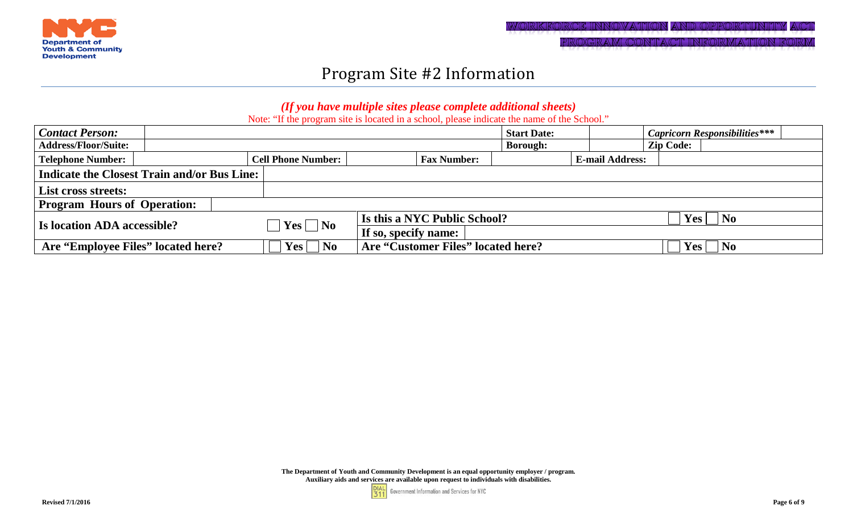

## Program Site #2 Information

### *(If you have multiple sites please complete additional sheets)*

Note: "If the program site is located in a school, please indicate the name of the School."

| <b>Contact Person:</b>             |                                                    |                                |                              |                                    | <b>Start Date:</b> |                        | <b>Capricorn Responsibilities</b> *** |  |
|------------------------------------|----------------------------------------------------|--------------------------------|------------------------------|------------------------------------|--------------------|------------------------|---------------------------------------|--|
| <b>Address/Floor/Suite:</b>        |                                                    |                                |                              |                                    | <b>Borough:</b>    |                        | <b>Zip Code:</b>                      |  |
| Telephone Number:                  |                                                    | <b>Cell Phone Number:</b>      |                              | <b>Fax Number:</b>                 |                    | <b>E-mail Address:</b> |                                       |  |
|                                    | <b>Indicate the Closest Train and/or Bus Line:</b> |                                |                              |                                    |                    |                        |                                       |  |
| <b>List cross streets:</b>         |                                                    |                                |                              |                                    |                    |                        |                                       |  |
| <b>Program Hours of Operation:</b> |                                                    |                                |                              |                                    |                    |                        |                                       |  |
| <b>Is location ADA accessible?</b> |                                                    | $\top$ Yes $\Box$ No           | Is this a NYC Public School? |                                    |                    |                        | $Yes \mid \neg No$                    |  |
|                                    |                                                    |                                |                              | If so, specify name:               |                    |                        |                                       |  |
| Are "Employee Files" located here? |                                                    | $\overline{\mathbf{N}}$<br>Yes |                              | Are "Customer Files" located here? |                    |                        | Yes  <br>  No                         |  |

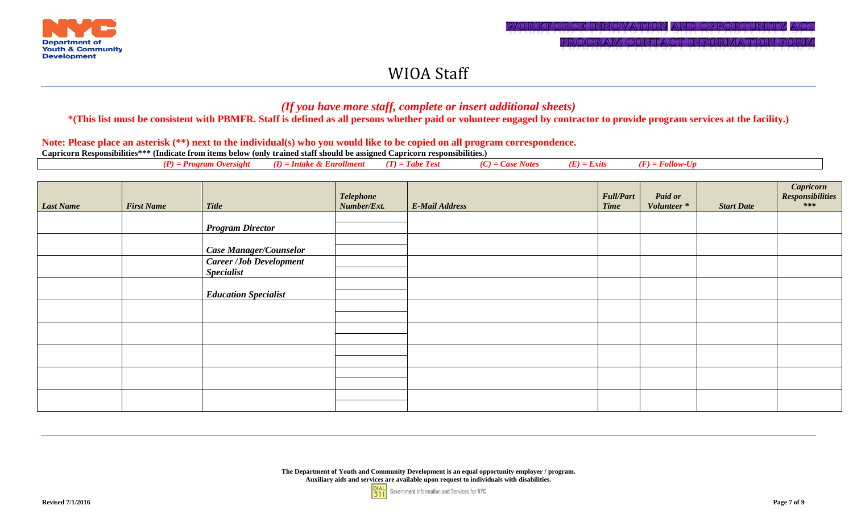

### *(If you have more staff, complete or insert additional sheets)*

**\*(This list must be consistent with PBMFR. Staff is defined as all persons whether paid or volunteer engaged by contractor to provide program services at the facility.)** 

#### **Note: Please place an asterisk (\*\*) next to the individual(s) who you would like to be copied on all program correspondence.**

| Æ)<br>. .<br><br>.<br>Votes<br>$_{I}$<br>מיני<br>тюли<br>- LXUS<br>,,,,,,,,,<br>a inizi<br>meni<br>$^{\prime}$ 1 e.<br>,,,,,,<br>1 VWV<br>--- - - - - |  |
|-------------------------------------------------------------------------------------------------------------------------------------------------------|--|
|-------------------------------------------------------------------------------------------------------------------------------------------------------|--|

| Last Name | <b>First Name</b> | <b>Title</b>                                        | <b>Telephone</b><br>Number/Ext. | <b>E-Mail Address</b> | <b>Full/Part</b><br><b>Time</b> | <b>Paid or</b><br>Volunteer* | <b>Start Date</b> | <i>Capricorn</i><br><i>Responsibilities</i><br>*** |
|-----------|-------------------|-----------------------------------------------------|---------------------------------|-----------------------|---------------------------------|------------------------------|-------------------|----------------------------------------------------|
|           |                   | <b>Program Director</b>                             |                                 |                       |                                 |                              |                   |                                                    |
|           |                   | <b>Case Manager/Counselor</b>                       |                                 |                       |                                 |                              |                   |                                                    |
|           |                   | <b>Career /Job Development</b><br><b>Specialist</b> |                                 |                       |                                 |                              |                   |                                                    |
|           |                   | <b>Education Specialist</b>                         |                                 |                       |                                 |                              |                   |                                                    |
|           |                   |                                                     |                                 |                       |                                 |                              |                   |                                                    |
|           |                   |                                                     |                                 |                       |                                 |                              |                   |                                                    |
|           |                   |                                                     |                                 |                       |                                 |                              |                   |                                                    |
|           |                   |                                                     |                                 |                       |                                 |                              |                   |                                                    |
|           |                   |                                                     |                                 |                       |                                 |                              |                   |                                                    |

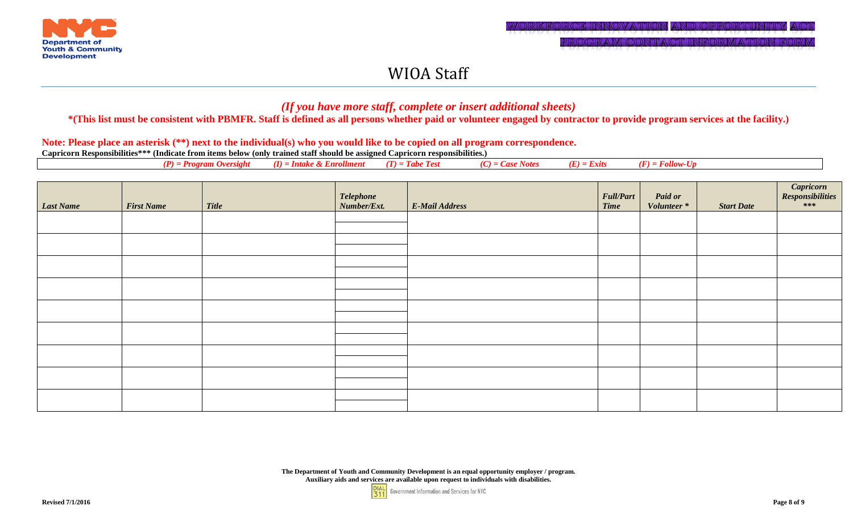

### *(If you have more staff, complete or insert additional sheets)*

**\*(This list must be consistent with PBMFR. Staff is defined as all persons whether paid or volunteer engaged by contractor to provide program services at the facility.)**

#### **Note: Please place an asterisk (\*\*) next to the individual(s) who you would like to be copied on all program correspondence.**

| <b>Last Name</b> | <b>First Name</b> | <b>Title</b> | Telephone<br>Number/Ext. | <b>E-Mail Address</b> | <b>Full/Part</b><br><b>Time</b> | <b>Paid or</b><br>Volunteer* | <b>Start Date</b> | $\begin{array}{c} \textit{Capricorn} \\ \textit{Responsibilities} \\ \texttt{***} \end{array}$ |
|------------------|-------------------|--------------|--------------------------|-----------------------|---------------------------------|------------------------------|-------------------|------------------------------------------------------------------------------------------------|
|                  |                   |              |                          |                       |                                 |                              |                   |                                                                                                |
|                  |                   |              |                          |                       |                                 |                              |                   |                                                                                                |
|                  |                   |              |                          |                       |                                 |                              |                   |                                                                                                |
|                  |                   |              |                          |                       |                                 |                              |                   |                                                                                                |
|                  |                   |              |                          |                       |                                 |                              |                   |                                                                                                |
|                  |                   |              |                          |                       |                                 |                              |                   |                                                                                                |
|                  |                   |              |                          |                       |                                 |                              |                   |                                                                                                |
|                  |                   |              |                          |                       |                                 |                              |                   |                                                                                                |
|                  |                   |              |                          |                       |                                 |                              |                   |                                                                                                |